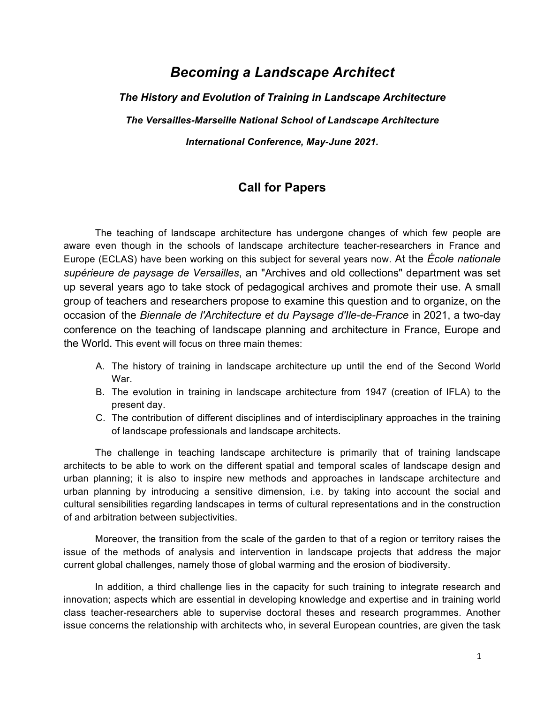# *Becoming a Landscape Architect*

*The History and Evolution of Training in Landscape Architecture The Versailles-Marseille National School of Landscape Architecture International Conference, May-June 2021.*

## **Call for Papers**

The teaching of landscape architecture has undergone changes of which few people are aware even though in the schools of landscape architecture teacher-researchers in France and Europe (ECLAS) have been working on this subject for several years now. At the *École nationale supérieure de paysage de Versailles*, an "Archives and old collections" department was set up several years ago to take stock of pedagogical archives and promote their use. A small group of teachers and researchers propose to examine this question and to organize, on the occasion of the *Biennale de l'Architecture et du Paysage d'Ile-de-France* in 2021, a two-day conference on the teaching of landscape planning and architecture in France, Europe and the World. This event will focus on three main themes:

- A. The history of training in landscape architecture up until the end of the Second World War.
- B. The evolution in training in landscape architecture from 1947 (creation of IFLA) to the present day.
- C. The contribution of different disciplines and of interdisciplinary approaches in the training of landscape professionals and landscape architects.

The challenge in teaching landscape architecture is primarily that of training landscape architects to be able to work on the different spatial and temporal scales of landscape design and urban planning; it is also to inspire new methods and approaches in landscape architecture and urban planning by introducing a sensitive dimension, i.e. by taking into account the social and cultural sensibilities regarding landscapes in terms of cultural representations and in the construction of and arbitration between subjectivities.

Moreover, the transition from the scale of the garden to that of a region or territory raises the issue of the methods of analysis and intervention in landscape projects that address the major current global challenges, namely those of global warming and the erosion of biodiversity.

In addition, a third challenge lies in the capacity for such training to integrate research and innovation; aspects which are essential in developing knowledge and expertise and in training world class teacher-researchers able to supervise doctoral theses and research programmes. Another issue concerns the relationship with architects who, in several European countries, are given the task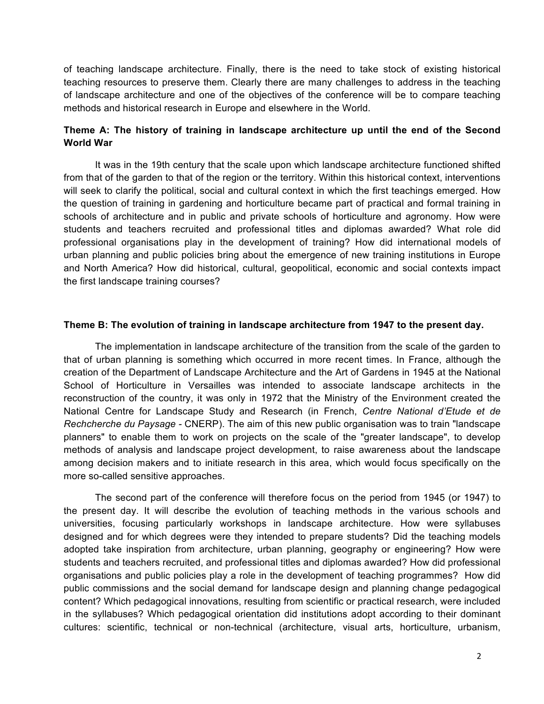of teaching landscape architecture. Finally, there is the need to take stock of existing historical teaching resources to preserve them. Clearly there are many challenges to address in the teaching of landscape architecture and one of the objectives of the conference will be to compare teaching methods and historical research in Europe and elsewhere in the World.

### **Theme A: The history of training in landscape architecture up until the end of the Second World War**

It was in the 19th century that the scale upon which landscape architecture functioned shifted from that of the garden to that of the region or the territory. Within this historical context, interventions will seek to clarify the political, social and cultural context in which the first teachings emerged. How the question of training in gardening and horticulture became part of practical and formal training in schools of architecture and in public and private schools of horticulture and agronomy. How were students and teachers recruited and professional titles and diplomas awarded? What role did professional organisations play in the development of training? How did international models of urban planning and public policies bring about the emergence of new training institutions in Europe and North America? How did historical, cultural, geopolitical, economic and social contexts impact the first landscape training courses?

#### **Theme B: The evolution of training in landscape architecture from 1947 to the present day.**

The implementation in landscape architecture of the transition from the scale of the garden to that of urban planning is something which occurred in more recent times. In France, although the creation of the Department of Landscape Architecture and the Art of Gardens in 1945 at the National School of Horticulture in Versailles was intended to associate landscape architects in the reconstruction of the country, it was only in 1972 that the Ministry of the Environment created the National Centre for Landscape Study and Research (in French, *Centre National d'Etude et de Rechcherche du Paysage -* CNERP). The aim of this new public organisation was to train "landscape planners" to enable them to work on projects on the scale of the "greater landscape", to develop methods of analysis and landscape project development, to raise awareness about the landscape among decision makers and to initiate research in this area, which would focus specifically on the more so-called sensitive approaches.

The second part of the conference will therefore focus on the period from 1945 (or 1947) to the present day. It will describe the evolution of teaching methods in the various schools and universities, focusing particularly workshops in landscape architecture. How were syllabuses designed and for which degrees were they intended to prepare students? Did the teaching models adopted take inspiration from architecture, urban planning, geography or engineering? How were students and teachers recruited, and professional titles and diplomas awarded? How did professional organisations and public policies play a role in the development of teaching programmes? How did public commissions and the social demand for landscape design and planning change pedagogical content? Which pedagogical innovations, resulting from scientific or practical research, were included in the syllabuses? Which pedagogical orientation did institutions adopt according to their dominant cultures: scientific, technical or non-technical (architecture, visual arts, horticulture, urbanism,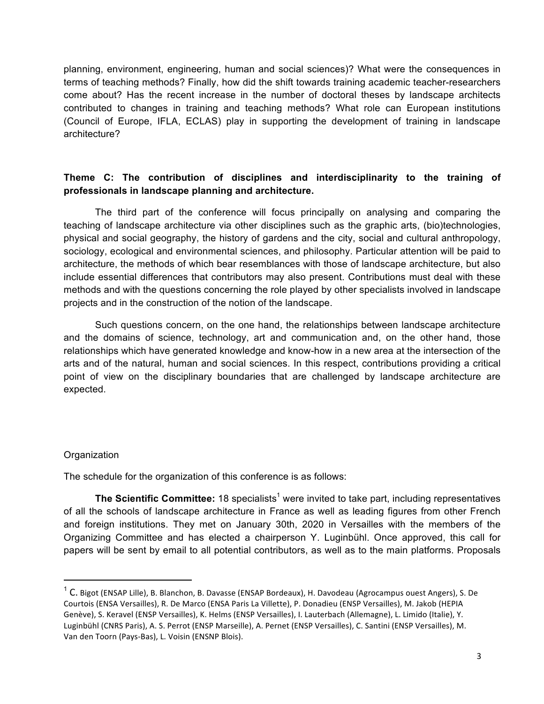planning, environment, engineering, human and social sciences)? What were the consequences in terms of teaching methods? Finally, how did the shift towards training academic teacher-researchers come about? Has the recent increase in the number of doctoral theses by landscape architects contributed to changes in training and teaching methods? What role can European institutions (Council of Europe, IFLA, ECLAS) play in supporting the development of training in landscape architecture?

## **Theme C: The contribution of disciplines and interdisciplinarity to the training of professionals in landscape planning and architecture.**

The third part of the conference will focus principally on analysing and comparing the teaching of landscape architecture via other disciplines such as the graphic arts, (bio)technologies, physical and social geography, the history of gardens and the city, social and cultural anthropology, sociology, ecological and environmental sciences, and philosophy. Particular attention will be paid to architecture, the methods of which bear resemblances with those of landscape architecture, but also include essential differences that contributors may also present. Contributions must deal with these methods and with the questions concerning the role played by other specialists involved in landscape projects and in the construction of the notion of the landscape.

Such questions concern, on the one hand, the relationships between landscape architecture and the domains of science, technology, art and communication and, on the other hand, those relationships which have generated knowledge and know-how in a new area at the intersection of the arts and of the natural, human and social sciences. In this respect, contributions providing a critical point of view on the disciplinary boundaries that are challenged by landscape architecture are expected.

#### **Organization**

 

The schedule for the organization of this conference is as follows:

**The Scientific Committee:** 18 specialists<sup>1</sup> were invited to take part, including representatives of all the schools of landscape architecture in France as well as leading figures from other French and foreign institutions. They met on January 30th, 2020 in Versailles with the members of the Organizing Committee and has elected a chairperson Y. Luginbühl. Once approved, this call for papers will be sent by email to all potential contributors, as well as to the main platforms. Proposals

 $1^1$  C. Bigot (ENSAP Lille), B. Blanchon, B. Davasse (ENSAP Bordeaux), H. Davodeau (Agrocampus ouest Angers), S. De Courtois (ENSA Versailles), R. De Marco (ENSA Paris La Villette), P. Donadieu (ENSP Versailles), M. Jakob (HEPIA Genève), S. Keravel (ENSP Versailles), K. Helms (ENSP Versailles), I. Lauterbach (Allemagne), L. Limido (Italie), Y. Luginbühl (CNRS Paris), A. S. Perrot (ENSP Marseille), A. Pernet (ENSP Versailles), C. Santini (ENSP Versailles), M. Van den Toorn (Pays-Bas), L. Voisin (ENSNP Blois).